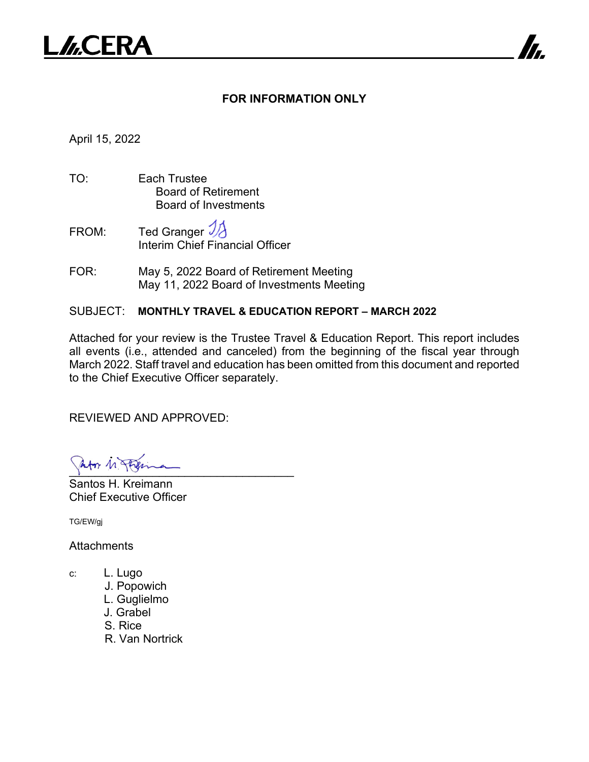

## **FOR INFORMATION ONLY**

7

April 15, 2022

- TO: Each Trustee Board of Retirement Board of Investments
- FROM: Ted Granger  $\mathcal{V}$ Interim Chief Financial Officer
- FOR: May 5, 2022 Board of Retirement Meeting May 11, 2022 Board of Investments Meeting

## SUBJECT: **MONTHLY TRAVEL & EDUCATION REPORT – MARCH 2022**

Attached for your review is the Trustee Travel & Education Report. This report includes all events (i.e., attended and canceled) from the beginning of the fiscal year through March 2022. Staff travel and education has been omitted from this document and reported to the Chief Executive Officer separately.

REVIEWED AND APPROVED:

 $\frac{1}{2}$ 

Santos H. Kreimann Chief Executive Officer

TG/EW/gj

**Attachments** 

- c: L. Lugo
	- J. Popowich
	- L. Guglielmo
	- J. Grabel
	- S. Rice
	- R. Van Nortrick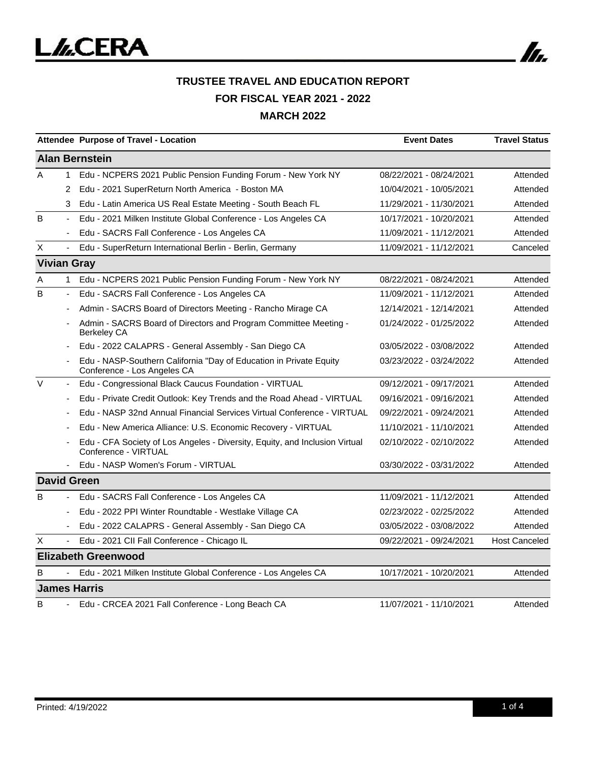

|                    |                          | Attendee Purpose of Travel - Location                                                               | <b>Event Dates</b>      | <b>Travel Status</b> |
|--------------------|--------------------------|-----------------------------------------------------------------------------------------------------|-------------------------|----------------------|
|                    |                          | <b>Alan Bernstein</b>                                                                               |                         |                      |
| A                  | $\mathbf{1}$             | Edu - NCPERS 2021 Public Pension Funding Forum - New York NY                                        | 08/22/2021 - 08/24/2021 | Attended             |
|                    | 2                        | Edu - 2021 SuperReturn North America - Boston MA                                                    | 10/04/2021 - 10/05/2021 | Attended             |
|                    | 3                        | Edu - Latin America US Real Estate Meeting - South Beach FL                                         | 11/29/2021 - 11/30/2021 | Attended             |
| B                  |                          | Edu - 2021 Milken Institute Global Conference - Los Angeles CA                                      | 10/17/2021 - 10/20/2021 | Attended             |
|                    |                          | Edu - SACRS Fall Conference - Los Angeles CA                                                        | 11/09/2021 - 11/12/2021 | Attended             |
| Χ                  |                          | Edu - SuperReturn International Berlin - Berlin, Germany                                            | 11/09/2021 - 11/12/2021 | Canceled             |
| <b>Vivian Gray</b> |                          |                                                                                                     |                         |                      |
| Α                  | $\mathbf{1}$             | Edu - NCPERS 2021 Public Pension Funding Forum - New York NY                                        | 08/22/2021 - 08/24/2021 | Attended             |
| B                  | $\overline{\phantom{a}}$ | Edu - SACRS Fall Conference - Los Angeles CA                                                        | 11/09/2021 - 11/12/2021 | Attended             |
|                    |                          | Admin - SACRS Board of Directors Meeting - Rancho Mirage CA                                         | 12/14/2021 - 12/14/2021 | Attended             |
|                    |                          | Admin - SACRS Board of Directors and Program Committee Meeting -<br><b>Berkeley CA</b>              | 01/24/2022 - 01/25/2022 | Attended             |
|                    |                          | Edu - 2022 CALAPRS - General Assembly - San Diego CA                                                | 03/05/2022 - 03/08/2022 | Attended             |
|                    |                          | Edu - NASP-Southern California "Day of Education in Private Equity<br>Conference - Los Angeles CA   | 03/23/2022 - 03/24/2022 | Attended             |
| $\vee$             | $\overline{\phantom{a}}$ | Edu - Congressional Black Caucus Foundation - VIRTUAL                                               | 09/12/2021 - 09/17/2021 | Attended             |
|                    |                          | Edu - Private Credit Outlook: Key Trends and the Road Ahead - VIRTUAL                               | 09/16/2021 - 09/16/2021 | Attended             |
|                    |                          | Edu - NASP 32nd Annual Financial Services Virtual Conference - VIRTUAL                              | 09/22/2021 - 09/24/2021 | Attended             |
|                    |                          | Edu - New America Alliance: U.S. Economic Recovery - VIRTUAL                                        | 11/10/2021 - 11/10/2021 | Attended             |
|                    |                          | Edu - CFA Society of Los Angeles - Diversity, Equity, and Inclusion Virtual<br>Conference - VIRTUAL | 02/10/2022 - 02/10/2022 | Attended             |
|                    |                          | Edu - NASP Women's Forum - VIRTUAL                                                                  | 03/30/2022 - 03/31/2022 | Attended             |
|                    |                          | <b>David Green</b>                                                                                  |                         |                      |
| B                  |                          | Edu - SACRS Fall Conference - Los Angeles CA                                                        | 11/09/2021 - 11/12/2021 | Attended             |
|                    |                          | Edu - 2022 PPI Winter Roundtable - Westlake Village CA                                              | 02/23/2022 - 02/25/2022 | Attended             |
|                    |                          | Edu - 2022 CALAPRS - General Assembly - San Diego CA                                                | 03/05/2022 - 03/08/2022 | Attended             |
| X                  |                          | Edu - 2021 CII Fall Conference - Chicago IL                                                         | 09/22/2021 - 09/24/2021 | <b>Host Canceled</b> |
|                    |                          | <b>Elizabeth Greenwood</b>                                                                          |                         |                      |
| B                  | $\blacksquare$           | Edu - 2021 Milken Institute Global Conference - Los Angeles CA                                      | 10/17/2021 - 10/20/2021 | Attended             |
|                    |                          | <b>James Harris</b>                                                                                 |                         |                      |
| B                  | $\overline{\phantom{0}}$ | Edu - CRCEA 2021 Fall Conference - Long Beach CA                                                    | 11/07/2021 - 11/10/2021 | Attended             |

In.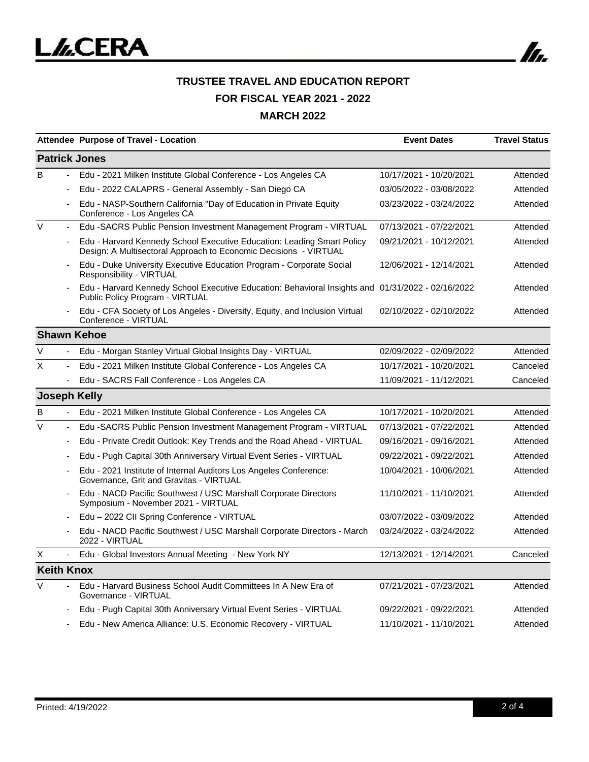

|                      |                          | <b>Attendee Purpose of Travel - Location</b>                                                                                               | <b>Event Dates</b>      | <b>Travel Status</b> |  |  |  |
|----------------------|--------------------------|--------------------------------------------------------------------------------------------------------------------------------------------|-------------------------|----------------------|--|--|--|
| <b>Patrick Jones</b> |                          |                                                                                                                                            |                         |                      |  |  |  |
| B                    | $\frac{1}{2}$            | Edu - 2021 Milken Institute Global Conference - Los Angeles CA                                                                             | 10/17/2021 - 10/20/2021 | Attended             |  |  |  |
|                      | $\overline{\phantom{a}}$ | Edu - 2022 CALAPRS - General Assembly - San Diego CA                                                                                       | 03/05/2022 - 03/08/2022 | Attended             |  |  |  |
|                      |                          | Edu - NASP-Southern California "Day of Education in Private Equity<br>Conference - Los Angeles CA                                          | 03/23/2022 - 03/24/2022 | Attended             |  |  |  |
| V                    | $\overline{\phantom{m}}$ | Edu -SACRS Public Pension Investment Management Program - VIRTUAL                                                                          | 07/13/2021 - 07/22/2021 | Attended             |  |  |  |
|                      |                          | Edu - Harvard Kennedy School Executive Education: Leading Smart Policy<br>Design: A Multisectoral Approach to Economic Decisions - VIRTUAL | 09/21/2021 - 10/12/2021 | Attended             |  |  |  |
|                      |                          | Edu - Duke University Executive Education Program - Corporate Social<br>Responsibility - VIRTUAL                                           | 12/06/2021 - 12/14/2021 | Attended             |  |  |  |
|                      |                          | Edu - Harvard Kennedy School Executive Education: Behavioral Insights and 01/31/2022 - 02/16/2022<br>Public Policy Program - VIRTUAL       |                         | Attended             |  |  |  |
|                      |                          | Edu - CFA Society of Los Angeles - Diversity, Equity, and Inclusion Virtual<br>Conference - VIRTUAL                                        | 02/10/2022 - 02/10/2022 | Attended             |  |  |  |
|                      |                          | <b>Shawn Kehoe</b>                                                                                                                         |                         |                      |  |  |  |
| $\vee$               |                          | Edu - Morgan Stanley Virtual Global Insights Day - VIRTUAL                                                                                 | 02/09/2022 - 02/09/2022 | Attended             |  |  |  |
| X                    | ÷,                       | Edu - 2021 Milken Institute Global Conference - Los Angeles CA                                                                             | 10/17/2021 - 10/20/2021 | Canceled             |  |  |  |
|                      |                          | Edu - SACRS Fall Conference - Los Angeles CA                                                                                               | 11/09/2021 - 11/12/2021 | Canceled             |  |  |  |
| <b>Joseph Kelly</b>  |                          |                                                                                                                                            |                         |                      |  |  |  |
| B                    | $\blacksquare$           | Edu - 2021 Milken Institute Global Conference - Los Angeles CA                                                                             | 10/17/2021 - 10/20/2021 | Attended             |  |  |  |
| $\vee$               | $\blacksquare$           | Edu -SACRS Public Pension Investment Management Program - VIRTUAL                                                                          | 07/13/2021 - 07/22/2021 | Attended             |  |  |  |
|                      |                          | Edu - Private Credit Outlook: Key Trends and the Road Ahead - VIRTUAL                                                                      | 09/16/2021 - 09/16/2021 | Attended             |  |  |  |
|                      |                          | Edu - Pugh Capital 30th Anniversary Virtual Event Series - VIRTUAL                                                                         | 09/22/2021 - 09/22/2021 | Attended             |  |  |  |
|                      |                          | Edu - 2021 Institute of Internal Auditors Los Angeles Conference:<br>Governance, Grit and Gravitas - VIRTUAL                               | 10/04/2021 - 10/06/2021 | Attended             |  |  |  |
|                      |                          | Edu - NACD Pacific Southwest / USC Marshall Corporate Directors<br>Symposium - November 2021 - VIRTUAL                                     | 11/10/2021 - 11/10/2021 | Attended             |  |  |  |
|                      |                          | Edu - 2022 CII Spring Conference - VIRTUAL                                                                                                 | 03/07/2022 - 03/09/2022 | Attended             |  |  |  |
|                      |                          | Edu - NACD Pacific Southwest / USC Marshall Corporate Directors - March<br>2022 - VIRTUAL                                                  | 03/24/2022 - 03/24/2022 | Attended             |  |  |  |
| X                    |                          | Edu - Global Investors Annual Meeting - New York NY                                                                                        | 12/13/2021 - 12/14/2021 | Canceled             |  |  |  |
| <b>Keith Knox</b>    |                          |                                                                                                                                            |                         |                      |  |  |  |
| $\vee$               |                          | Edu - Harvard Business School Audit Committees In A New Era of<br>Governance - VIRTUAL                                                     | 07/21/2021 - 07/23/2021 | Attended             |  |  |  |
|                      |                          | Edu - Pugh Capital 30th Anniversary Virtual Event Series - VIRTUAL                                                                         | 09/22/2021 - 09/22/2021 | Attended             |  |  |  |
|                      |                          | Edu - New America Alliance: U.S. Economic Recovery - VIRTUAL                                                                               | 11/10/2021 - 11/10/2021 | Attended             |  |  |  |

In.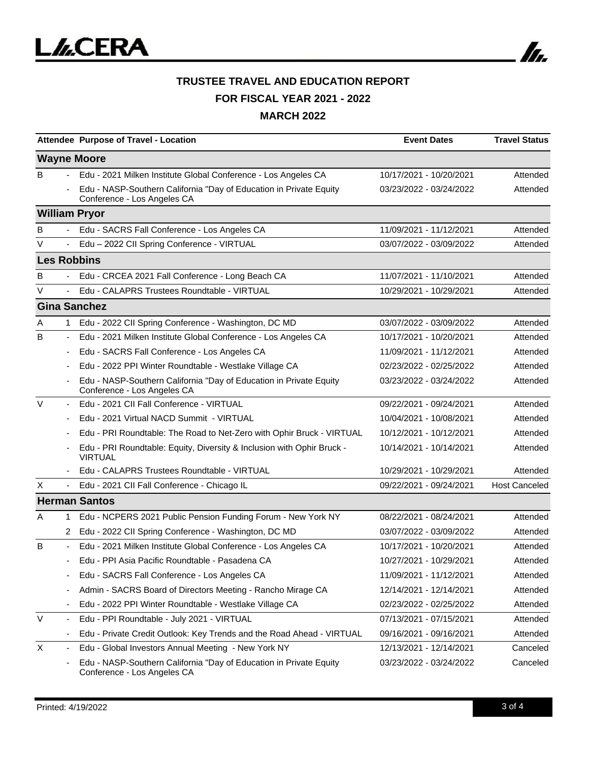

## **TRUSTEE TRAVEL AND EDUCATION REPORT FOR FISCAL YEAR 2021 - 2022 MARCH 2022**

|        |                          | Attendee Purpose of Travel - Location                                                             | <b>Event Dates</b>      | <b>Travel Status</b> |
|--------|--------------------------|---------------------------------------------------------------------------------------------------|-------------------------|----------------------|
|        |                          | <b>Wayne Moore</b>                                                                                |                         |                      |
| B      | $\sim$                   | Edu - 2021 Milken Institute Global Conference - Los Angeles CA                                    | 10/17/2021 - 10/20/2021 | Attended             |
|        |                          | Edu - NASP-Southern California "Day of Education in Private Equity<br>Conference - Los Angeles CA | 03/23/2022 - 03/24/2022 | Attended             |
|        |                          | <b>William Pryor</b>                                                                              |                         |                      |
| B      |                          | Edu - SACRS Fall Conference - Los Angeles CA                                                      | 11/09/2021 - 11/12/2021 | Attended             |
| V      |                          | Edu - 2022 CII Spring Conference - VIRTUAL                                                        | 03/07/2022 - 03/09/2022 | Attended             |
|        |                          | <b>Les Robbins</b>                                                                                |                         |                      |
| B      |                          | Edu - CRCEA 2021 Fall Conference - Long Beach CA                                                  | 11/07/2021 - 11/10/2021 | Attended             |
| V      |                          | Edu - CALAPRS Trustees Roundtable - VIRTUAL                                                       | 10/29/2021 - 10/29/2021 | Attended             |
|        |                          | <b>Gina Sanchez</b>                                                                               |                         |                      |
| Α      | 1.                       | Edu - 2022 CII Spring Conference - Washington, DC MD                                              | 03/07/2022 - 03/09/2022 | Attended             |
| B      | ۰                        | Edu - 2021 Milken Institute Global Conference - Los Angeles CA                                    | 10/17/2021 - 10/20/2021 | Attended             |
|        |                          | Edu - SACRS Fall Conference - Los Angeles CA                                                      | 11/09/2021 - 11/12/2021 | Attended             |
|        |                          | Edu - 2022 PPI Winter Roundtable - Westlake Village CA                                            | 02/23/2022 - 02/25/2022 | Attended             |
|        |                          | Edu - NASP-Southern California "Day of Education in Private Equity<br>Conference - Los Angeles CA | 03/23/2022 - 03/24/2022 | Attended             |
| V      | $\overline{\phantom{a}}$ | Edu - 2021 CII Fall Conference - VIRTUAL                                                          | 09/22/2021 - 09/24/2021 | Attended             |
|        |                          | Edu - 2021 Virtual NACD Summit - VIRTUAL                                                          | 10/04/2021 - 10/08/2021 | Attended             |
|        |                          | Edu - PRI Roundtable: The Road to Net-Zero with Ophir Bruck - VIRTUAL                             | 10/12/2021 - 10/12/2021 | Attended             |
|        |                          | Edu - PRI Roundtable: Equity, Diversity & Inclusion with Ophir Bruck -<br><b>VIRTUAL</b>          | 10/14/2021 - 10/14/2021 | Attended             |
|        |                          | Edu - CALAPRS Trustees Roundtable - VIRTUAL                                                       | 10/29/2021 - 10/29/2021 | Attended             |
| X      | $\blacksquare$           | Edu - 2021 CII Fall Conference - Chicago IL                                                       | 09/22/2021 - 09/24/2021 | <b>Host Canceled</b> |
|        |                          | <b>Herman Santos</b>                                                                              |                         |                      |
| A      | 1                        | Edu - NCPERS 2021 Public Pension Funding Forum - New York NY                                      | 08/22/2021 - 08/24/2021 | Attended             |
|        | 2                        | Edu - 2022 CII Spring Conference - Washington, DC MD                                              | 03/07/2022 - 03/09/2022 | Attended             |
| B      |                          | Edu - 2021 Milken Institute Global Conference - Los Angeles CA                                    | 10/17/2021 - 10/20/2021 | Attended             |
|        |                          | Edu - PPI Asia Pacific Roundtable - Pasadena CA                                                   | 10/27/2021 - 10/29/2021 | Attended             |
|        |                          | Edu - SACRS Fall Conference - Los Angeles CA                                                      | 11/09/2021 - 11/12/2021 | Attended             |
|        |                          | Admin - SACRS Board of Directors Meeting - Rancho Mirage CA                                       | 12/14/2021 - 12/14/2021 | Attended             |
|        |                          | Edu - 2022 PPI Winter Roundtable - Westlake Village CA                                            | 02/23/2022 - 02/25/2022 | Attended             |
| $\vee$ |                          | Edu - PPI Roundtable - July 2021 - VIRTUAL                                                        | 07/13/2021 - 07/15/2021 | Attended             |
|        |                          | Edu - Private Credit Outlook: Key Trends and the Road Ahead - VIRTUAL                             | 09/16/2021 - 09/16/2021 | Attended             |
| X      | $\overline{\phantom{a}}$ | Edu - Global Investors Annual Meeting - New York NY                                               | 12/13/2021 - 12/14/2021 | Canceled             |
|        |                          | Edu - NASP-Southern California "Day of Education in Private Equity<br>Conference - Los Angeles CA | 03/23/2022 - 03/24/2022 | Canceled             |